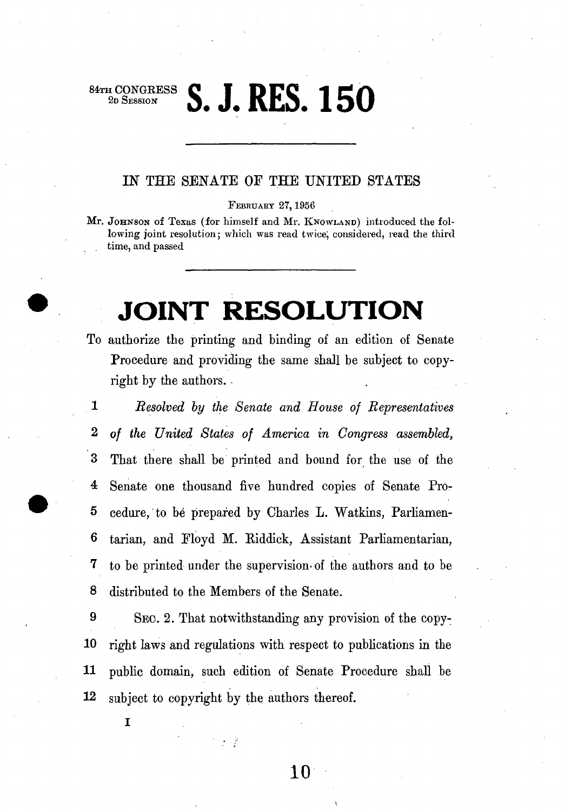**z** CONGRE<br>
2d Session

# **S. J. RES. 150**

#### IN THE SENATE OF THE UNITED STATES

**FEBRUARY 27,1956** 

**Mr.** JOHNSON of Texas (for himself and Mr. KNOWLAND) introduced the fol**lowing joint resolution; which was read twice; considered, read the third time, and passed** 

## **JOINT RESOLUTION**

- To authorize the printing and binding of an edition of Senate Procedure and providing the same shall be subject to copyright by the authors.
- **1** *Resolved by the Senate and House of Representatives*  **2** *of the United States of America in Congress assembled,*  3 That there shall be printed and bound for the use of the 4 Senate one thousand five hundred copies of Senate Pro-5 cedure, to be prepared by Charles L. Watkins, Parliamen-6 tarian, and Floyd M. Riddick, Assistant Parliamentarian, 7 to be printed under the supervision-of the authors and to be 8 distributed to the Members of the Senate.

 SEC. **2.** That notwithstanding any provision of the copy- right laws and regulations with respect to publications in the public domain, such edition of Senate Procedure shall be subject to copyright by the authors thereof.

 $\mathcal{F} \in \mathcal{E}$ 

**I**